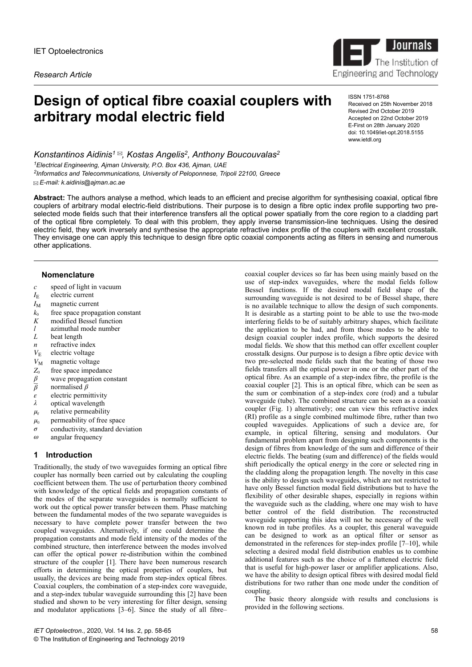*Research Article*



# **Design of optical fibre coaxial couplers with arbitrary modal electric field**

ISSN 1751-8768 Received on 25th November 2018 Revised 2nd October 2019 Accepted on 22nd October 2019 E-First on 28th January 2020 doi: 10.1049/iet-opt.2018.5155 www.ietdl.org

*Konstantinos Aidinis<sup>1</sup> , Kostas Angelis<sup>2</sup> , Anthony Boucouvalas<sup>2</sup> <sup>1</sup>Electrical Engineering, Ajman University, P.O. Box 436, Ajman, UAE 2 Informatics and Telecommunications, University of Peloponnese, Tripoli 22100, Greece E-mail: k.aidinis@ajman.ac.ae*

**Abstract:** The authors analyse a method, which leads to an efficient and precise algorithm for synthesising coaxial, optical fibre couplers of arbitrary modal electric-field distributions. Their purpose is to design a fibre optic index profile supporting two preselected mode fields such that their interference transfers all the optical power spatially from the core region to a cladding part of the optical fibre completely. To deal with this problem, they apply inverse transmission-line techniques. Using the desired electric field, they work inversely and synthesise the appropriate refractive index profile of the couplers with excellent crosstalk. They envisage one can apply this technique to design fibre optic coaxial components acting as filters in sensing and numerous other applications.

## **Nomenclature**

- *c* speed of light in vacuum
- *I*E electric current
- $I_M$  magnetic current
- $k_0$  free space propagation constant<br> $K$  modified Bessel function
- modified Bessel function
- *l* azimuthal mode number
- *L* beat length
- *n* refractive index
- $V_{\rm E}$  electric voltage
- 
- $V_M$  magnetic voltage<br>*Z*<sub>0</sub> free space impeda
- $Z_0$  free space impedance  $\beta$  wave propagation con *β* wave propagation constant<br> *β* normalised *β*
- *β* normalised *β*
- *ε* electric permittivity
- *λ* optical wavelength
- *μ*r relative permeability
- $\mu_0$  permeability of free space
- *σ* conductivity, standard deviation
- *ω* angular frequency

#### **1 Introduction**

Traditionally, the study of two waveguides forming an optical fibre coupler has normally been carried out by calculating the coupling coefficient between them. The use of perturbation theory combined with knowledge of the optical fields and propagation constants of the modes of the separate waveguides is normally sufficient to work out the optical power transfer between them. Phase matching between the fundamental modes of the two separate waveguides is necessary to have complete power transfer between the two coupled waveguides. Alternatively, if one could determine the propagation constants and mode field intensity of the modes of the combined structure, then interference between the modes involved can offer the optical power re-distribution within the combined structure of the coupler [1]. There have been numerous research efforts in determining the optical properties of couplers, but usually, the devices are being made from step-index optical fibres. Coaxial couplers, the combination of a step-index core waveguide, and a step-index tubular waveguide surrounding this [2] have been studied and shown to be very interesting for filter design, sensing and modulator applications [3–6]. Since the study of all fibre–

coaxial coupler devices so far has been using mainly based on the use of step-index waveguides, where the modal fields follow Bessel functions. If the desired modal field shape of the surrounding waveguide is not desired to be of Bessel shape, there is no available technique to allow the design of such components. It is desirable as a starting point to be able to use the two-mode interfering fields to be of suitably arbitrary shapes, which facilitate the application to be had, and from those modes to be able to design coaxial coupler index profile, which supports the desired modal fields. We show that this method can offer excellent coupler crosstalk designs. Our purpose is to design a fibre optic device with two pre-selected mode fields such that the beating of those two fields transfers all the optical power in one or the other part of the optical fibre. As an example of a step-index fibre, the profile is the coaxial coupler [2]. This is an optical fibre, which can be seen as the sum or combination of a step-index core (rod) and a tubular waveguide (tube). The combined structure can be seen as a coaxial coupler (Fig. 1) alternatively; one can view this refractive index (RI) profile as a single combined multimode fibre, rather than two coupled waveguides. Applications of such a device are, for example, in optical filtering, sensing and modulators. Our fundamental problem apart from designing such components is the design of fibres from knowledge of the sum and difference of their electric fields. The beating (sum and difference) of the fields would shift periodically the optical energy in the core or selected ring in the cladding along the propagation length. The novelty in this case is the ability to design such waveguides, which are not restricted to have only Bessel function modal field distributions but to have the flexibility of other desirable shapes, especially in regions within the waveguide such as the cladding, where one may wish to have better control of the field distribution. The reconstructed waveguide supporting this idea will not be necessary of the well known rod in tube profiles. As a coupler, this general waveguide can be designed to work as an optical filter or sensor as demonstrated in the references for step-index profile [7–10], while selecting a desired modal field distribution enables us to combine additional features such as the choice of a flattened electric field that is useful for high-power laser or amplifier applications. Also, we have the ability to design optical fibres with desired modal field distributions for two rather than one mode under the condition of coupling.

The basic theory alongside with results and conclusions is provided in the following sections.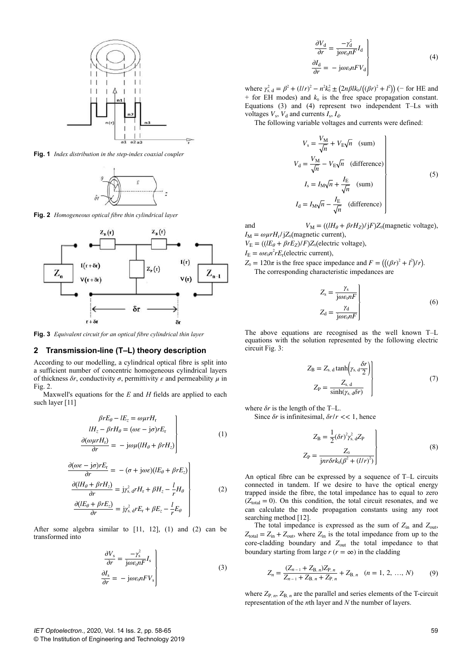

**Fig. 1** *Index distribution in the step-index coaxial coupler*



**Fig. 2** *Homogeneous optical fibre thin cylindrical layer*



**Fig. 3** *Equivalent circuit for an optical fibre cylindrical thin layer*

## **2 Transmission-line (T–L) theory description**

According to our modelling, a cylindrical optical fibre is split into a sufficient number of concentric homogeneous cylindrical layers of thickness  $\delta r$ , conductivity  $\sigma$ , permittivity  $\varepsilon$  and permeability  $\mu$  in Fig. 2.

Maxwell's equations for the *E* and *H* fields are applied to each such layer [11]

$$
\beta r E_{\theta} - l E_{z} = \omega \mu r H_{r}
$$
\n
$$
l H_{z} - \beta r H_{\theta} = (\omega \varepsilon - j \sigma) r E_{r}
$$
\n
$$
\frac{\partial (\omega \mu r H_{r})}{\partial r} = -j \omega \mu (l H_{\theta} + \beta r H_{z})
$$
\n(1)

$$
\frac{\partial(\omega \varepsilon - j\sigma) rE_{\rm r}}{\partial r} = -(\sigma + j\omega \varepsilon)(lE_{\theta} + \beta rE_{z})
$$
\n
$$
\frac{\partial(lH_{\theta} + \beta rH_{z})}{\partial r} = j\gamma_{\rm s,d}^{2} rH_{\rm r} + \beta H_{z} - \frac{l}{r}H_{\theta}
$$
\n
$$
\frac{\partial(lE_{\theta} + \beta rE_{z})}{\partial r} = j\gamma_{\rm s,d}^{2} rE_{\rm r} + \beta E_{z} - \frac{l}{r}E_{\theta}
$$
\n(2)

After some algebra similar to [11, 12], (1) and (2) can be transformed into

$$
\begin{aligned}\n\frac{\partial V_{\rm s}}{\partial r} &= \frac{-\gamma_{\rm s}^2}{\text{j}\omega\varepsilon_0 nF} I_{\rm s} \\
\frac{\partial I_{\rm s}}{\partial r} &= -\text{j}\omega\varepsilon_0 nF V_{\rm s}\n\end{aligned} \tag{3}
$$

$$
\begin{aligned}\n\frac{\partial V_{\rm d}}{\partial r} &= \frac{-\gamma_{\rm d}^2}{\mathbf{j}\omega\varepsilon_0 nF} I_{\rm d} \\
\frac{\partial I_{\rm d}}{\partial r} &= -\mathbf{j}\omega\varepsilon_0 nF V_{\rm d}\n\end{aligned} \tag{4}
$$

where  $\gamma_{s, d}^2 = \beta^2 + (l/r)^2 - n^2k_0^2 \pm (2n\beta Ik_0/((\beta r)^2 + l^2))$  (− for HE and  $+$  for EH modes) and  $k_0$  is the free space propagation constant. Equations (3) and (4) represent two independent T–Ls with voltages  $V_s$ ,  $V_d$  and currents  $I_s$ ,  $I_d$ .

The following variable voltages and currents were defined:

$$
V_{\rm s} = \frac{V_{\rm M}}{\sqrt{n}} + V_{\rm E}\sqrt{n} \quad \text{(sum)}
$$
  
\n
$$
V_{\rm d} = \frac{V_{\rm M}}{\sqrt{n}} - V_{\rm E}\sqrt{n} \quad \text{(difference)}
$$
  
\n
$$
I_{\rm s} = I_{\rm M}\sqrt{n} + \frac{I_{\rm E}}{\sqrt{n}} \quad \text{(sum)}
$$
  
\n
$$
I_{\rm d} = I_{\rm M}\sqrt{n} - \frac{I_{\rm E}}{\sqrt{n}} \quad \text{(difference)}
$$
\n(5)

and  $V_M = ((lH_\theta + \beta r H_Z)/jF)Z_0$  (magnetic voltage),  $I_M = \omega \mu r H_r / jZ_0$  (magnetic current),

 $V_{\rm E} = \left( \frac{I E_{\theta} + \beta r E_{Z}}{F} \right) / F \left( \frac{Z_{0}}{F} \right)$  electric voltage),

 $I_{\rm E} = \omega \varepsilon_0 n^2 r E_{\rm r}$  (electric current),

 $Z_0 = 120\pi$  is the free space impedance and  $F = \left( \left( (\beta r)^2 + l^2 \right) / r \right)$ . The corresponding characteristic impedances are

$$
Z_{s} = \frac{\gamma_{s}}{j\omega\varepsilon_{0}nF}
$$
  
\n
$$
Z_{d} = \frac{\gamma_{d}}{j\omega\varepsilon_{0}nF}
$$
\n(6)

The above equations are recognised as the well known T–L equations with the solution represented by the following electric circuit Fig. 3:

$$
Z_{\rm B} = Z_{\rm s,d} \tanh\left(\gamma_{\rm s,d} \frac{\delta r}{2}\right)
$$
  
\n
$$
Z_{\rm P} = \frac{Z_{\rm s,d}}{\sinh(\gamma_{\rm s,d}\delta r)}\tag{7}
$$

where *δr* is the length of the T–L.

Since *δr* is infinitesimal, *δr*/*r* << 1, hence

$$
Z_{\rm B} = \frac{1}{2} (\delta r)^2 \gamma_{\rm s. d}^2 Z_{\rm P}
$$
  

$$
Z_{\rm P} = \frac{Z_0}{jn r \delta r k_0 (\beta^2 + (l/r)^2)}\right)
$$
(8)

An optical fibre can be expressed by a sequence of T–L circuits connected in tandem. If we desire to have the optical energy trapped inside the fibre, the total impedance has to equal to zero  $(Z_{total} = 0)$ . On this condition, the total circuit resonates, and we can calculate the mode propagation constants using any root searching method [12].

The total impedance is expressed as the sum of  $Z_{\text{in}}$  and  $Z_{\text{out}}$ ,  $Z_{\text{total}} = Z_{\text{in}} + Z_{\text{out}}$ , where  $Z_{\text{in}}$  is the total impedance from up to the core-cladding boundary and  $Z_{\text{out}}$  the total impedance to that boundary starting from large  $r (r = \infty)$  in the cladding

$$
Z_n = \frac{(Z_{n-1} + Z_{\text{B},n})Z_{\text{P},n}}{Z_{n-1} + Z_{\text{B},n} + Z_{\text{P},n}} + Z_{\text{B},n} \quad (n = 1, 2, ..., N) \tag{9}
$$

where  $Z_{P,n}$ ,  $Z_{B,n}$  are the parallel and series elements of the T-circuit representation of the *n*th layer and *N* the number of layers.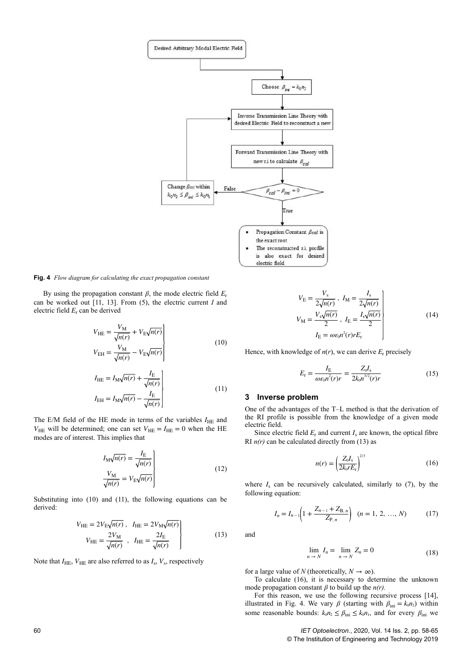

**Fig. 4** *Flow diagram for calculating the exact propagation constant*

By using the propagation constant  $β$ , the mode electric field  $E_r$ can be worked out [11, 13]. From (5), the electric current *I* and electric field *E*<sup>r</sup> can be derived

$$
V_{\text{HE}} = \frac{V_{\text{M}}}{\sqrt{n(r)}} + V_{\text{E}}\sqrt{n(r)}
$$
  

$$
V_{\text{EH}} = \frac{V_{\text{M}}}{\sqrt{n(r)}} - V_{\text{E}}\sqrt{n(r)}
$$
 (10)

$$
I_{\text{HE}} = I_{\text{M}} \sqrt{n(r)} + \frac{I_{\text{E}}}{\sqrt{n(r)}} I_{\text{EH}} = I_{\text{M}} \sqrt{n(r)} - \frac{I_{\text{E}}}{\sqrt{n(r)}}
$$
(11)

The E/M field of the HE mode in terms of the variables  $I_{\text{HE}}$  and  $V_{\text{HE}}$  will be determined; one can set  $V_{\text{HE}} = I_{\text{HE}} = 0$  when the HE modes are of interest. This implies that

$$
I_{\rm M}\sqrt{n(r)} = \frac{I_{\rm E}}{\sqrt{n(r)}}\Bigg\vert\frac{V_{\rm M}}{\sqrt{n(r)}} = V_{\rm E}\sqrt{n(r)}\Bigg\vert\tag{12}
$$

Substituting into (10) and (11), the following equations can be derived:

$$
V_{\text{HE}} = 2V_{\text{E}}\sqrt{n(r)}, \quad I_{\text{HE}} = 2V_{\text{M}}\sqrt{n(r)}
$$

$$
V_{\text{HE}} = \frac{2V_{\text{M}}}{\sqrt{n(r)}}, \quad I_{\text{HE}} = \frac{2I_{\text{E}}}{\sqrt{n(r)}}
$$
(13)

Note that  $I_{\text{HE}}$ ,  $V_{\text{HE}}$  are also referred to as  $I_{\text{s}}$ ,  $V_{\text{s}}$ , respectively

$$
V_{\rm E} = \frac{V_{\rm s}}{2\sqrt{n(r)}}, I_{\rm M} = \frac{I_{\rm s}}{2\sqrt{n(r)}}\Biggr\}
$$
  

$$
V_{\rm M} = \frac{V_{\rm s}\sqrt{n(r)}}{2}, I_{\rm E} = \frac{I_{\rm s}\sqrt{n(r)}}{2}\Biggr\}
$$
 (14)  

$$
I_{\rm E} = \omega\varepsilon_0 n^2(r)rE_{\rm r}
$$

Hence, with knowledge of  $n(r)$ , we can derive  $E_r$  precisely

$$
E_{\rm r} = \frac{I_{\rm E}}{\omega \varepsilon_0 n^2(r)r} = \frac{Z_0 I_{\rm s}}{2k_0 n^{3/2}(r)r}
$$
(15)

#### **3 Inverse problem**

One of the advantages of the T–L method is that the derivation of the RI profile is possible from the knowledge of a given mode electric field.

Since electric field  $E_r$  and current  $I_s$  are known, the optical fibre RI  $n(r)$  can be calculated directly from (13) as

$$
n(r) = \left(\frac{Z_0 I_s}{2k_0 r E_r}\right)^{2/3} \tag{16}
$$

where  $I_s$  can be recursively calculated, similarly to  $(7)$ , by the following equation:

$$
I_n = I_{n-1} \left( 1 + \frac{Z_{n-1} + Z_{\text{B},n}}{Z_{\text{P},n}} \right) \quad (n = 1, 2, ..., N) \tag{17}
$$

and

$$
\lim_{n \to N} I_n = \lim_{n \to N} Z_n = 0 \tag{18}
$$

for a large value of *N* (theoretically,  $N \to \infty$ ).

*n* → *N*

To calculate (16), it is necessary to determine the unknown mode propagation constant  $\beta$  to build up the  $n(r)$ .

For this reason, we use the following recursive process [14], illustrated in Fig. 4. We vary  $\beta$  (starting with  $\beta_{\text{ini}} = k_0 n_2$ ) within some reasonable bounds:  $k_0 n_2 \le \beta_{\text{ini}} \le k_0 n_1$ , and for every  $\beta_{\text{ini}}$  we

60 *IET Optoelectron.*, 2020, Vol. 14 Iss. 2, pp. 58-65 © The Institution of Engineering and Technology 2019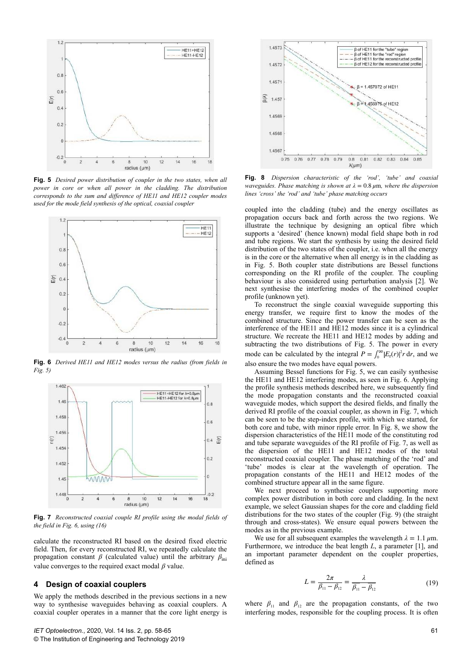

**Fig. 5** *Desired power distribution of coupler in the two states, when all power in core or when all power in the cladding. The distribution corresponds to the sum and difference of HE11 and HE12 coupler modes used for the mode field synthesis of the optical, coaxial coupler*



**Fig. 6** *Derived HE11 and HE12 modes versus the radius (from fields in Fig. 5)*



**Fig. 7** *Reconstructed coaxial couple RI profile using the modal fields of the field in Fig. 6, using (16)*

calculate the reconstructed RI based on the desired fixed electric field. Then, for every reconstructed RI, we repeatedly calculate the propagation constant  $\beta$  (calculated value) until the arbitrary  $\beta_{\text{ini}}$ value converges to the required exact modal *β* value.

## **4 Design of coaxial couplers**

We apply the methods described in the previous sections in a new way to synthesise waveguides behaving as coaxial couplers. A coaxial coupler operates in a manner that the core light energy is



**Fig. 8** *Dispersion characteristic of the 'rod', 'tube' and coaxial waveguides. Phase matching is shown at λ* = 0.8 *μ*m*, where the dispersion lines 'cross' the 'rod' and 'tube' phase matching occurs*

coupled into the cladding (tube) and the energy oscillates as propagation occurs back and forth across the two regions. We illustrate the technique by designing an optical fibre which supports a 'desired' (hence known) modal field shape both in rod and tube regions. We start the synthesis by using the desired field distribution of the two states of the coupler, i.e. when all the energy is in the core or the alternative when all energy is in the cladding as in Fig. 5. Both coupler state distributions are Bessel functions corresponding on the RI profile of the coupler. The coupling behaviour is also considered using perturbation analysis [2]. We next synthesise the interfering modes of the combined coupler profile (unknown yet).

To reconstruct the single coaxial waveguide supporting this energy transfer, we require first to know the modes of the combined structure. Since the power transfer can be seen as the interference of the HE11 and HE12 modes since it is a cylindrical structure. We recreate the HE11 and HE12 modes by adding and subtracting the two distributions of Fig. 5. The power in every mode can be calculated by the integral  $P = \int_0^\infty |E_r(r)|^2 r dr$ , and we also ensure the two modes have equal powers.

Assuming Bessel functions for Fig. 5, we can easily synthesise the HE11 and HE12 interfering modes, as seen in Fig. 6. Applying the profile synthesis methods described here, we subsequently find the mode propagation constants and the reconstructed coaxial waveguide modes, which support the desired fields, and finally the derived RI profile of the coaxial coupler, as shown in Fig. 7, which can be seen to be the step-index profile, with which we started, for both core and tube, with minor ripple error. In Fig. 8, we show the dispersion characteristics of the HE11 mode of the constituting rod and tube separate waveguides of the RI profile of Fig. 7, as well as the dispersion of the HE11 and HE12 modes of the total reconstructed coaxial coupler. The phase matching of the 'rod' and 'tube' modes is clear at the wavelength of operation. The propagation constants of the HE11 and HE12 modes of the combined structure appear all in the same figure.

We next proceed to synthesise couplers supporting more complex power distribution in both core and cladding. In the next example, we select Gaussian shapes for the core and cladding field distributions for the two states of the coupler (Fig. 9) (the straight through and cross-states). We ensure equal powers between the modes as in the previous example.

We use for all subsequent examples the wavelength  $\lambda = 1.1 \mu m$ . Furthermore, we introduce the beat length *L*, a parameter [1], and an important parameter dependent on the coupler properties, defined as

$$
L = \frac{2\pi}{\beta_{11} - \beta_{12}} = \frac{\lambda}{\beta_{11} - \beta_{12}}
$$
(19)

where  $\beta_{11}$  and  $\beta_{12}$  are the propagation constants, of the two interfering modes, responsible for the coupling process. It is often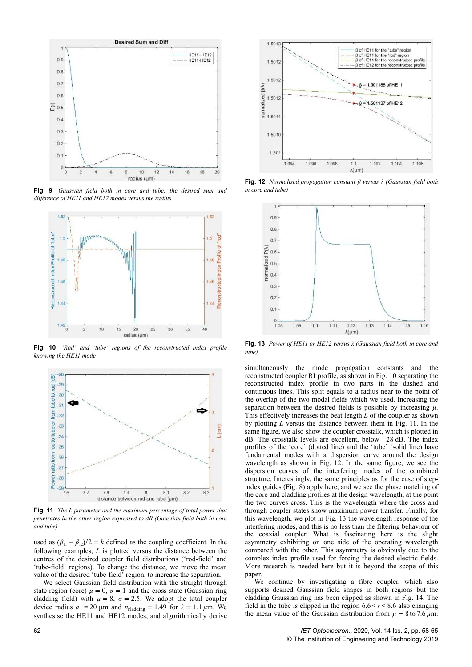

**Fig. 9** *Gaussian field both in core and tube: the desired sum and difference of HE11 and HE12 modes versus the radius*



**Fig. 10** *'Rod' and 'tube' regions of the reconstructed index profile knowing the HE11 mode*



**Fig. 11** *The L parameter and the maximum percentage of total power that penetrates in the other region expressed to dB (Gaussian field both in core and tube)*

used as  $(\beta_{11} - \beta_{12})/2 = k$  defined as the coupling coefficient. In the following examples, *L* is plotted versus the distance between the centres of the desired coupler field distributions ('rod-field' and 'tube-field' regions). To change the distance, we move the mean value of the desired 'tube-field' region, to increase the separation.

We select Gaussian field distribution with the straight through state region (core)  $\mu = 0$ ,  $\sigma = 1$  and the cross-state (Gaussian ring cladding field) with  $\mu = 8$ ,  $\sigma = 2.5$ . We adopt the total coupler device radius  $a1 = 20 \mu m$  and  $n_{\text{cladding}} = 1.49$  for  $\lambda = 1.1 \mu m$ . We synthesise the HE11 and HE12 modes, and algorithmically derive



**Fig. 12** *Normalised propagation constant β versus λ (Gaussian field both in core and tube)*



**Fig. 13** *Power of HE11 or HE12 versus λ (Gaussian field both in core and tube)*

simultaneously the mode propagation constants and the reconstructed coupler RI profile, as shown in Fig. 10 separating the reconstructed index profile in two parts in the dashed and continuous lines. This split equals to a radius near to the point of the overlap of the two modal fields which we used. Increasing the separation between the desired fields is possible by increasing  $\mu$ . This effectively increases the beat length *L* of the coupler as shown by plotting *L* versus the distance between them in Fig. 11. In the same figure, we also show the coupler crosstalk, which is plotted in dB. The crosstalk levels are excellent, below −28 dB. The index profiles of the 'core' (dotted line) and the 'tube' (solid line) have fundamental modes with a dispersion curve around the design wavelength as shown in Fig. 12. In the same figure, we see the dispersion curves of the interfering modes of the combined structure. Interestingly, the same principles as for the case of stepindex guides (Fig. 8) apply here, and we see the phase matching of the core and cladding profiles at the design wavelength, at the point the two curves cross. This is the wavelength where the cross and through coupler states show maximum power transfer. Finally, for this wavelength, we plot in Fig. 13 the wavelength response of the interfering modes, and this is no less than the filtering behaviour of the coaxial coupler. What is fascinating here is the slight asymmetry exhibiting on one side of the operating wavelength compared with the other. This asymmetry is obviously due to the complex index profile used for forcing the desired electric fields. More research is needed here but it is beyond the scope of this paper.

We continue by investigating a fibre coupler, which also supports desired Gaussian field shapes in both regions but the cladding Gaussian ring has been clipped as shown in Fig. 14. The field in the tube is clipped in the region  $6.6 \le r \le 8.6$  also changing the mean value of the Gaussian distribution from  $\mu = 8$  to 7.6  $\mu$ m.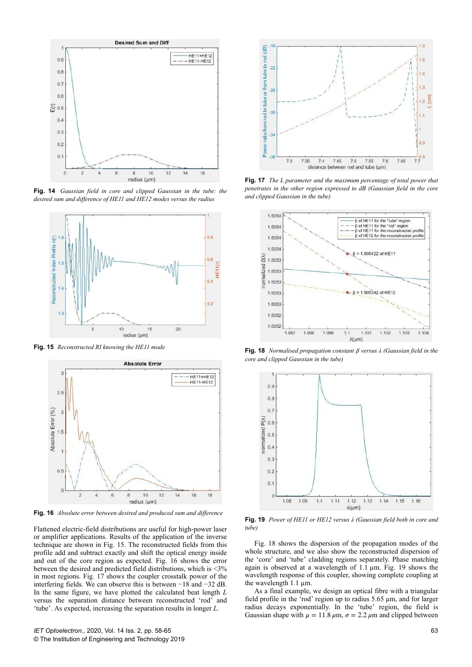

**Fig. 14** *Gaussian field in core and clipped Gaussian in the tube: the desired sum and difference of HE11 and HE12 modes versus the radius*



**Fig. 15** *Reconstructed RI knowing the HE11 mode*



**Fig. 16** *Absolute error between desired and produced sum and difference*

Flattened electric-field distributions are useful for high-power laser or amplifier applications. Results of the application of the inverse technique are shown in Fig. 15. The reconstructed fields from this profile add and subtract exactly and shift the optical energy inside and out of the core region as expected. Fig. 16 shows the error between the desired and predicted field distributions, which is <3% in most regions. Fig. 17 shows the coupler crosstalk power of the interfering fields. We can observe this is between −18 and −32 dB. In the same figure, we have plotted the calculated beat length *L* versus the separation distance between reconstructed 'rod' and 'tube'. As expected, increasing the separation results in longer *L*.



**Fig. 17** *The L parameter and the maximum percentage of total power that penetrates in the other region expressed to dB (Gaussian field in the core and clipped Gaussian in the tube)*



**Fig. 18** *Normalised propagation constant β versus λ (Gaussian field in the core and clipped Gaussian in the tube)*



**Fig. 19** *Power of HE11 or HE12 versus λ (Gaussian field both in core and tube)*

Fig. 18 shows the dispersion of the propagation modes of the whole structure, and we also show the reconstructed dispersion of the 'core' and 'tube' cladding regions separately. Phase matching again is observed at a wavelength of  $1.\overline{1}$  µm. Fig. 19 shows the wavelength response of this coupler, showing complete coupling at the wavelength 1.1 μm.

As a final example, we design an optical fibre with a triangular field profile in the 'rod' region up to radius 5.65 µm, and for larger radius decays exponentially. In the 'tube' region, the field is Gaussian shape with  $\mu = 11.8 \mu m$ ,  $\sigma = 2.2 \mu m$  and clipped between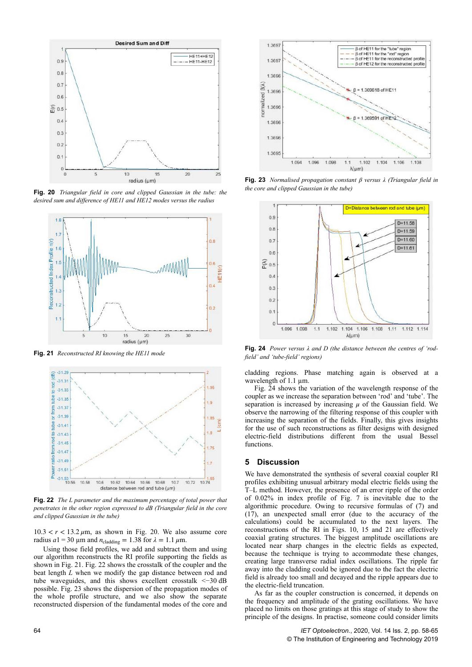

**Fig. 20** *Triangular field in core and clipped Gaussian in the tube: the desired sum and difference of HE11 and HE12 modes versus the radius*



**Fig. 21** *Reconstructed RI knowing the HE11 mode*



**Fig. 22** *The L parameter and the maximum percentage of total power that penetrates in the other region expressed to dB (Triangular field in the core and clipped Gaussian in the tube)*

 $10.3 < r < 13.2 \,\mu\text{m}$ , as shown in Fig. 20. We also assume core radius  $a1 = 30 \text{ }\mu\text{m}$  and  $n_{\text{cladding}} = 1.38 \text{ for } \lambda = 1.1 \text{ }\mu\text{m}$ .

Using those field profiles, we add and subtract them and using our algorithm reconstructs the RI profile supporting the fields as shown in Fig. 21. Fig. 22 shows the crosstalk of the coupler and the beat length *L* when we modify the gap distance between rod and tube waveguides, and this shows excellent crosstalk <−30 dB possible. Fig. 23 shows the dispersion of the propagation modes of the whole profile structure, and we also show the separate reconstructed dispersion of the fundamental modes of the core and



**Fig. 23** *Normalised propagation constant β versus λ (Triangular field in the core and clipped Gaussian in the tube)*



**Fig. 24** *Power versus λ and D (the distance between the centres of 'rodfield' and 'tube-field' regions)*

cladding regions. Phase matching again is observed at a wavelength of 1.1 um.

Fig. 24 shows the variation of the wavelength response of the coupler as we increase the separation between 'rod' and 'tube'. The separation is increased by increasing  $\mu$  of the Gaussian field. We observe the narrowing of the filtering response of this coupler with increasing the separation of the fields. Finally, this gives insights for the use of such reconstructions as filter designs with designed electric-field distributions different from the usual Bessel functions.

### **5 Discussion**

We have demonstrated the synthesis of several coaxial coupler RI profiles exhibiting unusual arbitrary modal electric fields using the T–L method. However, the presence of an error ripple of the order of 0.02% in index profile of Fig. 7 is inevitable due to the algorithmic procedure. Owing to recursive formulas of (7) and (17), an unexpected small error (due to the accuracy of the calculations) could be accumulated to the next layers. The reconstructions of the RI in Figs. 10, 15 and 21 are effectively coaxial grating structures. The biggest amplitude oscillations are located near sharp changes in the electric fields as expected, because the technique is trying to accommodate these changes, creating large transverse radial index oscillations. The ripple far away into the cladding could be ignored due to the fact the electric field is already too small and decayed and the ripple appears due to the electric-field truncation.

As far as the coupler construction is concerned, it depends on the frequency and amplitude of the grating oscillations. We have placed no limits on those gratings at this stage of study to show the principle of the designs. In practise, someone could consider limits